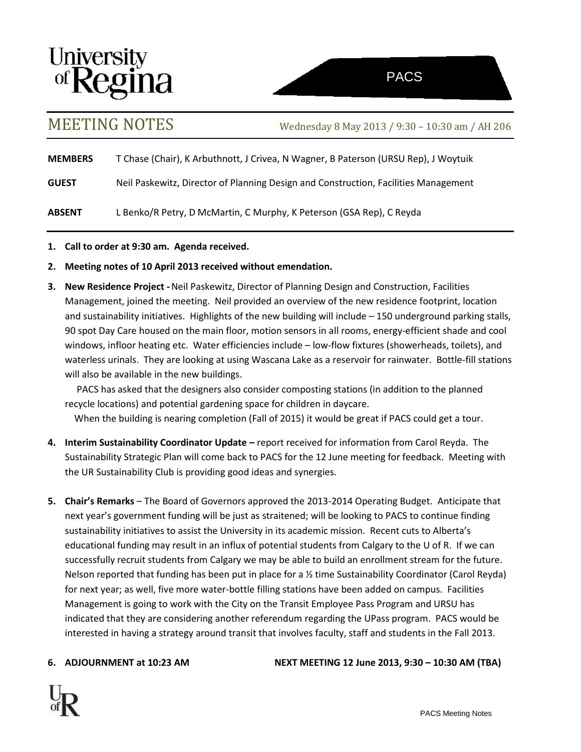

MEETING NOTES Wednesday <sup>8</sup> May <sup>2013</sup> / 9:30 – 10:30 am / AH <sup>206</sup>

**MEMBERS** T Chase (Chair), K Arbuthnott, J Crivea, N Wagner, B Paterson (URSU Rep), J Woytuik

**GUEST** Neil Paskewitz, Director of Planning Design and Construction, Facilities Management

**ABSENT** L Benko/R Petry, D McMartin, C Murphy, K Peterson (GSA Rep), C Reyda

- **1. Call to order at 9:30 am. Agenda received.**
- **2. Meeting notes of 10 April 2013 received without emendation.**
- **3. New Residence Project -**Neil Paskewitz, Director of Planning Design and Construction, Facilities Management, joined the meeting. Neil provided an overview of the new residence footprint, location and sustainability initiatives. Highlights of the new building will include – 150 underground parking stalls, 90 spot Day Care housed on the main floor, motion sensors in all rooms, energy-efficient shade and cool windows, infloor heating etc. Water efficiencies include – low-flow fixtures (showerheads, toilets), and waterless urinals. They are looking at using Wascana Lake as a reservoir for rainwater. Bottle-fill stations will also be available in the new buildings.

 PACS has asked that the designers also consider composting stations (in addition to the planned recycle locations) and potential gardening space for children in daycare.

When the building is nearing completion (Fall of 2015) it would be great if PACS could get a tour.

- **4. Interim Sustainability Coordinator Update –** report received for information from Carol Reyda. The Sustainability Strategic Plan will come back to PACS for the 12 June meeting for feedback. Meeting with the UR Sustainability Club is providing good ideas and synergies.
- **5. Chair's Remarks** The Board of Governors approved the 2013-2014 Operating Budget. Anticipate that next year's government funding will be just as straitened; will be looking to PACS to continue finding sustainability initiatives to assist the University in its academic mission. Recent cuts to Alberta's educational funding may result in an influx of potential students from Calgary to the U of R. If we can successfully recruit students from Calgary we may be able to build an enrollment stream for the future. Nelson reported that funding has been put in place for a ½ time Sustainability Coordinator (Carol Reyda) for next year; as well, five more water-bottle filling stations have been added on campus. Facilities Management is going to work with the City on the Transit Employee Pass Program and URSU has indicated that they are considering another referendum regarding the UPass program. PACS would be interested in having a strategy around transit that involves faculty, staff and students in the Fall 2013.

**6. ADJOURNMENT at 10:23 AM NEXT MEETING 12 June 2013, 9:30 – 10:30 AM (TBA)**